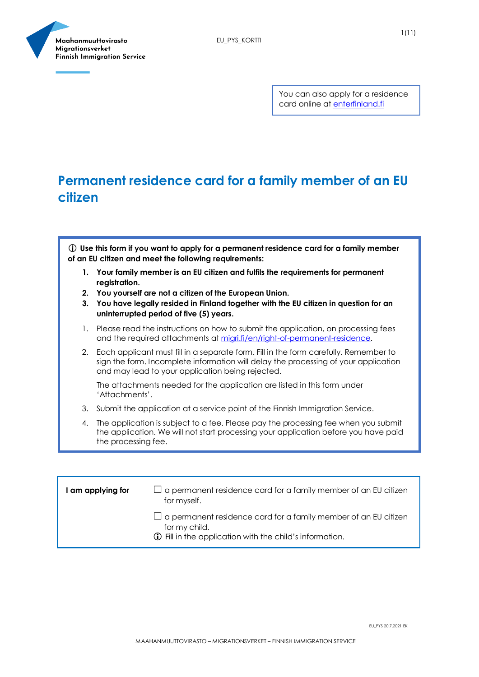

You can also apply for a residence card online at [enterfinland.fi](https://enterfinland.fi/eServices/)

### **Permanent residence card for a family member of an EU citizen**

 **Use this form if you want to apply for a permanent residence card for a family member of an EU citizen and meet the following requirements:**

- **1. Your family member is an EU citizen and fulfils the requirements for permanent registration.**
- **2. You yourself are not a citizen of the European Union.**
- **3. You have legally resided in Finland together with the EU citizen in question for an uninterrupted period of five (5) years.**
- 1. Please read the instructions on how to submit the application, on processing fees and the required attachments a[t migri.fi/en/right-of-permanent-residence.](https://migri.fi/en/right-of-permanent-residence)
- 2. Each applicant must fill in a separate form. Fill in the form carefully. Remember to sign the form. Incomplete information will delay the processing of your application and may lead to your application being rejected.

The attachments needed for the application are listed in this form under 'Attachments'.

- 3. Submit the application at a service point of the Finnish Immigration Service.
- 4. The application is subject to a fee. Please pay the processing fee when you submit the application. We will not start processing your application before you have paid the processing fee.

| I am applying for | $\Box$ a permanent residence card for a family member of an EU citizen<br>for myself.                                                                     |
|-------------------|-----------------------------------------------------------------------------------------------------------------------------------------------------------|
|                   | $\Box$ a permanent residence card for a family member of an EU citizen<br>for my child.<br><b>1</b> Fill in the application with the child's information. |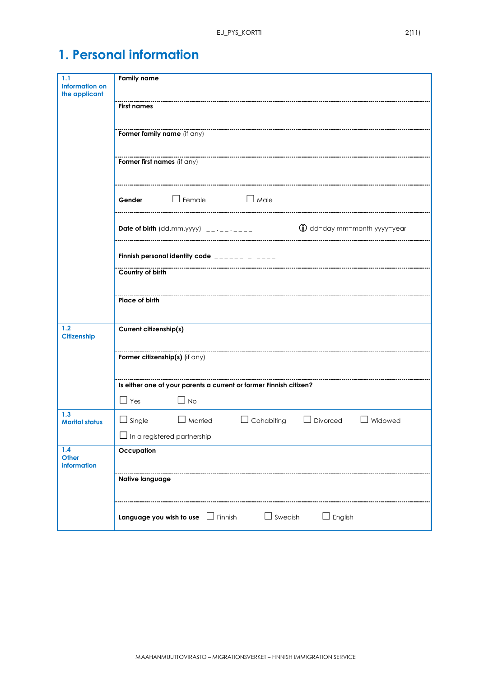# **1. Personal information**

| 1.1<br><b>Information on</b><br>the applicant | <b>Family name</b>                                                                                                                                    |  |  |  |  |  |  |  |
|-----------------------------------------------|-------------------------------------------------------------------------------------------------------------------------------------------------------|--|--|--|--|--|--|--|
|                                               | <b>First names</b>                                                                                                                                    |  |  |  |  |  |  |  |
|                                               | Former family name (if any)                                                                                                                           |  |  |  |  |  |  |  |
|                                               | Former first names (if any)                                                                                                                           |  |  |  |  |  |  |  |
|                                               | $\Box$ Male<br>$\Box$ Female<br>Gender                                                                                                                |  |  |  |  |  |  |  |
|                                               | <b>Date of birth</b> (dd.mm.yyyy) $\frac{1}{2}$ $\cdots$ $\frac{1}{2}$ and $\cdots$ <b>and <math>\cdots</math></b> $\cdots$ dd=day mm=month yyyy=year |  |  |  |  |  |  |  |
|                                               | Finnish personal identity code $\frac{1}{2}$                                                                                                          |  |  |  |  |  |  |  |
|                                               | Country of birth                                                                                                                                      |  |  |  |  |  |  |  |
|                                               | Place of birth                                                                                                                                        |  |  |  |  |  |  |  |
| 1.2<br>Citizenship                            | Current citizenship(s)                                                                                                                                |  |  |  |  |  |  |  |
|                                               | Former citizenship(s) (if any)                                                                                                                        |  |  |  |  |  |  |  |
|                                               | Is either one of your parents a current or former Finnish citizen?                                                                                    |  |  |  |  |  |  |  |
|                                               | $\Box$ Yes<br>$\Box$ No                                                                                                                               |  |  |  |  |  |  |  |
| 1.3<br><b>Marital status</b>                  | $\Box$ Cohabiting<br>$\Box$ Married<br>$\Box$ Divorced<br>Widowed<br>$\Box$ Single<br>$\Box$                                                          |  |  |  |  |  |  |  |
|                                               | In a registered partnership                                                                                                                           |  |  |  |  |  |  |  |
| 1.4<br>Other<br>information                   | Occupation                                                                                                                                            |  |  |  |  |  |  |  |
|                                               | Native language                                                                                                                                       |  |  |  |  |  |  |  |
|                                               | $\Box$ Swedish<br>$\Box$ English<br>Language you wish to use $\Box$ Finnish                                                                           |  |  |  |  |  |  |  |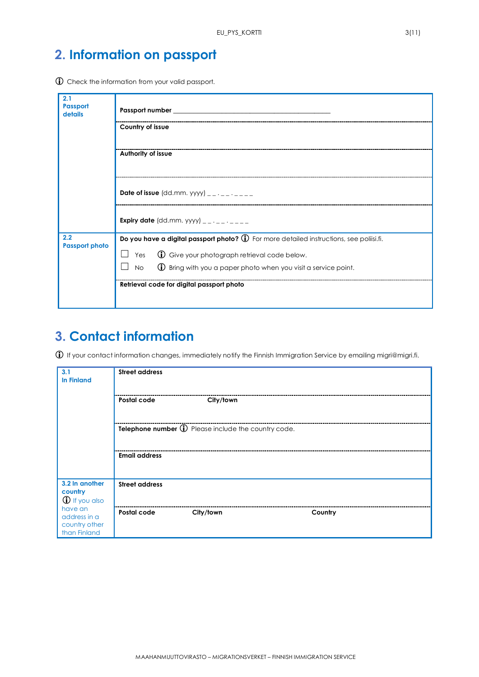## **2. Information on passport**

Check the information from your valid passport.

| 2.1<br><b>Passport</b><br>details | Passport number                                                                                 |  |  |  |  |  |
|-----------------------------------|-------------------------------------------------------------------------------------------------|--|--|--|--|--|
|                                   | Country of issue                                                                                |  |  |  |  |  |
|                                   | Authority of issue                                                                              |  |  |  |  |  |
|                                   | Date of issue (dd.mm. yyyy) $\frac{1}{2}$ $\cdots$ $\frac{1}{2}$                                |  |  |  |  |  |
|                                   | <b>Expiry date</b> (dd.mm. yyyy) __ . _ _ . _ _ _                                               |  |  |  |  |  |
| 2.2<br><b>Passport photo</b>      | Do you have a digital passport photo? $\hat{U}$ For more detailed instructions, see poliisi.fi. |  |  |  |  |  |
|                                   | Yes $\bigcirc$ Give your photograph retrieval code below.                                       |  |  |  |  |  |
|                                   | No $\circ$ Bring with you a paper photo when you visit a service point.                         |  |  |  |  |  |
|                                   | Retrieval code for digital passport photo                                                       |  |  |  |  |  |

#### **3. Contact information**

 $\oplus$  If your contact information changes, immediately notify the Finnish Immigration Service by emailing migri@migri.fi.

| 3.1<br><b>In Finland</b>                                 | <b>Street address</b>                               |           |         |  |
|----------------------------------------------------------|-----------------------------------------------------|-----------|---------|--|
|                                                          | Postal code                                         | City/town |         |  |
|                                                          | Telephone number 1 Please include the country code. |           |         |  |
|                                                          | <b>Email address</b>                                |           |         |  |
| 3.2 In another<br>country<br><b>1</b> If you also        | <b>Street address</b>                               |           |         |  |
| have an<br>address in a<br>country other<br>than Finland | Postal code                                         | City/town | Country |  |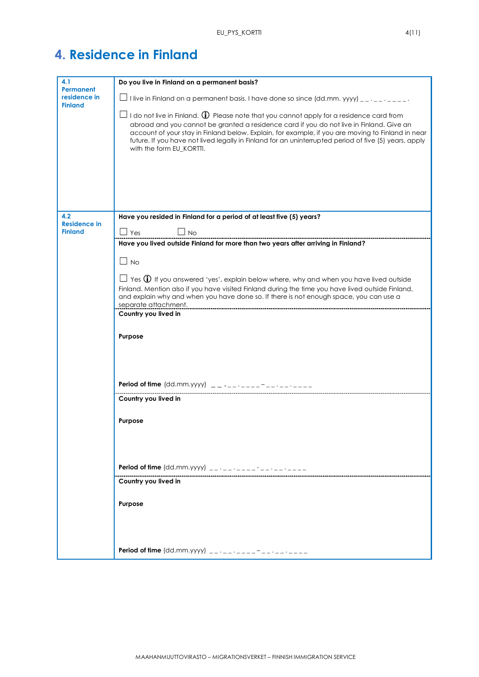|  | <b>4. Residence in Finland</b> |  |  |
|--|--------------------------------|--|--|
|  |                                |  |  |

| 4.1                                                | Do you live in Finland on a permanent basis?                                                                                                                                                                                                                                                                                                                                                                                                              |  |  |  |
|----------------------------------------------------|-----------------------------------------------------------------------------------------------------------------------------------------------------------------------------------------------------------------------------------------------------------------------------------------------------------------------------------------------------------------------------------------------------------------------------------------------------------|--|--|--|
| <b>Permanent</b><br>residence in<br><b>Finland</b> | $\Box$ I live in Finland on a permanent basis. I have done so since (dd.mm. yyyy) __ . _ _ . _ _ _ .                                                                                                                                                                                                                                                                                                                                                      |  |  |  |
|                                                    | $\Box$ I do not live in Finland. $\bf{\textcircled{1}}$ Please note that you cannot apply for a residence card from<br>abroad and you cannot be granted a residence card if you do not live in Finland. Give an<br>account of your stay in Finland below. Explain, for example, if you are moving to Finland in near<br>future. If you have not lived legally in Finland for an uninterrupted period of five (5) years, apply<br>with the form EU_KORTTI. |  |  |  |
|                                                    |                                                                                                                                                                                                                                                                                                                                                                                                                                                           |  |  |  |
| 4.2<br><b>Residence in</b>                         | Have you resided in Finland for a period of at least five (5) years?                                                                                                                                                                                                                                                                                                                                                                                      |  |  |  |
| <b>Finland</b>                                     | $\sqcup$ Yes<br><b>No</b>                                                                                                                                                                                                                                                                                                                                                                                                                                 |  |  |  |
|                                                    | Have you lived outside Finland for more than two years after arriving in Finland?                                                                                                                                                                                                                                                                                                                                                                         |  |  |  |
|                                                    | $\square$ No                                                                                                                                                                                                                                                                                                                                                                                                                                              |  |  |  |
|                                                    | $\Box$ Yes $\bigoplus$ If you answered 'yes', explain below where, why and when you have lived outside<br>Finland. Mention also if you have visited Finland during the time you have lived outside Finland,<br>and explain why and when you have done so. If there is not enough space, you can use a<br>separate attachment.                                                                                                                             |  |  |  |
|                                                    | Country you lived in                                                                                                                                                                                                                                                                                                                                                                                                                                      |  |  |  |
|                                                    | Purpose                                                                                                                                                                                                                                                                                                                                                                                                                                                   |  |  |  |
|                                                    |                                                                                                                                                                                                                                                                                                                                                                                                                                                           |  |  |  |
|                                                    | <b>Period of time</b> (dd.mm.yyyy) $\qquad$ _ _ _ _ _ _ _                                                                                                                                                                                                                                                                                                                                                                                                 |  |  |  |
|                                                    | Country you lived in                                                                                                                                                                                                                                                                                                                                                                                                                                      |  |  |  |
|                                                    | Purpose                                                                                                                                                                                                                                                                                                                                                                                                                                                   |  |  |  |
|                                                    |                                                                                                                                                                                                                                                                                                                                                                                                                                                           |  |  |  |
|                                                    | <b>Period of time</b> (dd.mm.yyyy) $\frac{1}{2}$ $\frac{1}{2}$ $\frac{1}{2}$ $\frac{1}{2}$ $\frac{1}{2}$ $\frac{1}{2}$ $\frac{1}{2}$                                                                                                                                                                                                                                                                                                                      |  |  |  |
|                                                    | Country you lived in                                                                                                                                                                                                                                                                                                                                                                                                                                      |  |  |  |
|                                                    | Purpose                                                                                                                                                                                                                                                                                                                                                                                                                                                   |  |  |  |
|                                                    |                                                                                                                                                                                                                                                                                                                                                                                                                                                           |  |  |  |
|                                                    |                                                                                                                                                                                                                                                                                                                                                                                                                                                           |  |  |  |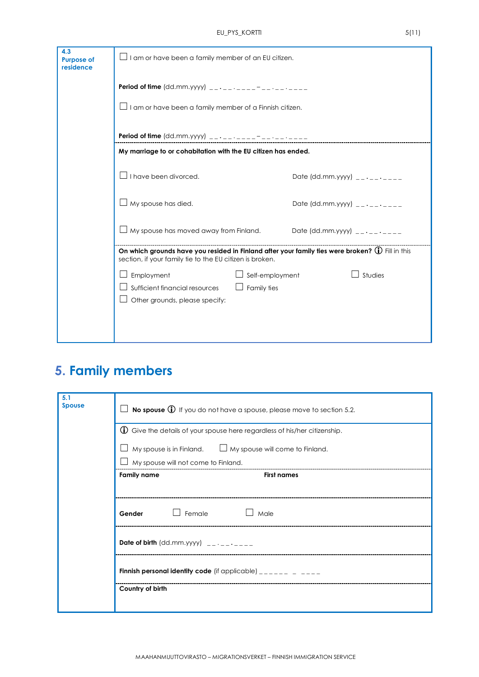| $\Box$ I am or have been a family member of an EU citizen.     |                               |                                                                                                                                                                                                                                                                                                                                                |  |  |  |  |
|----------------------------------------------------------------|-------------------------------|------------------------------------------------------------------------------------------------------------------------------------------------------------------------------------------------------------------------------------------------------------------------------------------------------------------------------------------------|--|--|--|--|
|                                                                |                               |                                                                                                                                                                                                                                                                                                                                                |  |  |  |  |
| $\Box$ I am or have been a family member of a Finnish citizen. |                               |                                                                                                                                                                                                                                                                                                                                                |  |  |  |  |
|                                                                |                               |                                                                                                                                                                                                                                                                                                                                                |  |  |  |  |
|                                                                |                               |                                                                                                                                                                                                                                                                                                                                                |  |  |  |  |
| $\Box$ I have been divorced.                                   | Date (dd.mm.yyyy) $-$ ------- |                                                                                                                                                                                                                                                                                                                                                |  |  |  |  |
| My spouse has died.                                            |                               | Date (dd.mm.yyyy) $-$ - $-$ - $-$ - $-$                                                                                                                                                                                                                                                                                                        |  |  |  |  |
|                                                                |                               |                                                                                                                                                                                                                                                                                                                                                |  |  |  |  |
|                                                                |                               |                                                                                                                                                                                                                                                                                                                                                |  |  |  |  |
| Employment                                                     | Studies                       |                                                                                                                                                                                                                                                                                                                                                |  |  |  |  |
| Sufficient financial resources                                 | Family ties                   |                                                                                                                                                                                                                                                                                                                                                |  |  |  |  |
| Other grounds, please specify:                                 |                               |                                                                                                                                                                                                                                                                                                                                                |  |  |  |  |
|                                                                |                               |                                                                                                                                                                                                                                                                                                                                                |  |  |  |  |
|                                                                |                               |                                                                                                                                                                                                                                                                                                                                                |  |  |  |  |
|                                                                |                               | My marriage to or cohabitation with the EU citizen has ended.<br>My spouse has moved away from Finland. Date (dd.mm.yyyy) $\frac{1}{2}$<br>On which grounds have you resided in Finland after your family ties were broken? $\widehat{\mathbb{O}}$ Fill in this<br>section, if your family tie to the EU citizen is broken.<br>Self-employment |  |  |  |  |

## **5. Family members**

| 5.1<br><b>Spouse</b>                                                               | $\Box$ No spouse $\bigoplus$ If you do not have a spouse, please move to section 5.2.                                        |  |  |  |  |
|------------------------------------------------------------------------------------|------------------------------------------------------------------------------------------------------------------------------|--|--|--|--|
| $\bigcirc$ Give the details of your spouse here regardless of his/her citizenship. |                                                                                                                              |  |  |  |  |
|                                                                                    | My spouse is in Finland. $\Box$ My spouse will come to Finland.                                                              |  |  |  |  |
|                                                                                    | My spouse will not come to Finland.                                                                                          |  |  |  |  |
|                                                                                    | <b>Family name</b><br><b>First names</b>                                                                                     |  |  |  |  |
|                                                                                    |                                                                                                                              |  |  |  |  |
|                                                                                    | Gender $\Box$ Female $\Box$ Male                                                                                             |  |  |  |  |
|                                                                                    |                                                                                                                              |  |  |  |  |
|                                                                                    | Finnish personal identity code (if applicable) $\frac{1}{2}$ = $\frac{1}{2}$ = $\frac{1}{2}$ = $\frac{1}{2}$ = $\frac{1}{2}$ |  |  |  |  |
|                                                                                    | Country of birth                                                                                                             |  |  |  |  |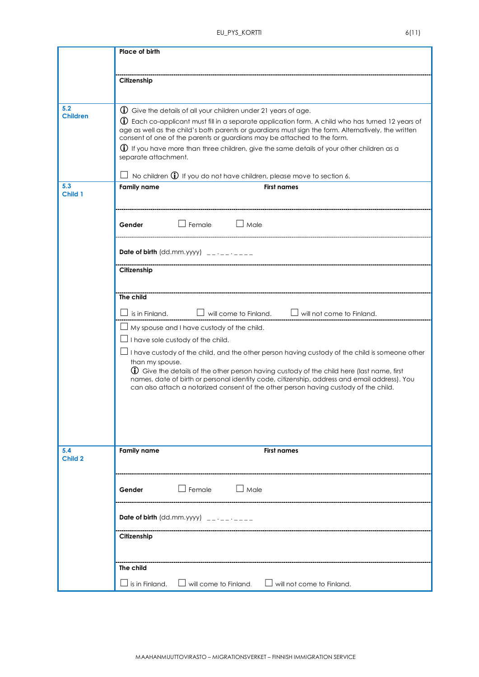|                               | Place of birth                                                                                                                                                                                                                                                                                                                                                                                                                                                                                                                                                                                                               |  |  |  |  |
|-------------------------------|------------------------------------------------------------------------------------------------------------------------------------------------------------------------------------------------------------------------------------------------------------------------------------------------------------------------------------------------------------------------------------------------------------------------------------------------------------------------------------------------------------------------------------------------------------------------------------------------------------------------------|--|--|--|--|
|                               | Citizenship                                                                                                                                                                                                                                                                                                                                                                                                                                                                                                                                                                                                                  |  |  |  |  |
| 5.2<br><b>Children</b><br>5.3 | (i) Give the details of all your children under 21 years of age.<br><b>(i)</b> Each co-applicant must fill in a separate application form. A child who has turned 12 years of<br>age as well as the child's both parents or guardians must sign the form. Alternatively, the written<br>consent of one of the parents or guardians may be attached to the form.<br>$\bigoplus$ If you have more than three children, give the same details of your other children as a<br>separate attachment.<br>No children $\mathbb O$ If you do not have children, please move to section 6.<br><b>Family name</b><br><b>First names</b> |  |  |  |  |
| Child 1                       | $\Box$ Female $\Box$ Male<br>Gender                                                                                                                                                                                                                                                                                                                                                                                                                                                                                                                                                                                          |  |  |  |  |
|                               | Date of birth (dd.mm.yyyy) $\frac{1}{2}$ $\frac{1}{2}$ $\frac{1}{2}$ $\frac{1}{2}$ $\frac{1}{2}$ $\frac{1}{2}$ $\frac{1}{2}$ $\frac{1}{2}$ $\frac{1}{2}$ $\frac{1}{2}$ $\frac{1}{2}$ $\frac{1}{2}$ $\frac{1}{2}$ $\frac{1}{2}$ $\frac{1}{2}$ $\frac{1}{2}$ $\frac{1}{2}$ $\frac{1}{2}$ $\frac{1}{2}$ $\frac{$<br>Citizenship                                                                                                                                                                                                                                                                                                 |  |  |  |  |
|                               | The child<br>$\Box$ will come to Finland. $\Box$ will not come to Finland.<br>is in Finland.                                                                                                                                                                                                                                                                                                                                                                                                                                                                                                                                 |  |  |  |  |
|                               | My spouse and I have custody of the child.<br>$\perp$ I have sole custody of the child.<br>I have custody of the child, and the other person having custody of the child is someone other<br>than my spouse.<br>$\bigcirc$ Give the details of the other person having custody of the child here (last name, first<br>names, date of birth or personal identity code, citizenship, address and email address). You<br>can also attach a notarized consent of the other person having custody of the child.                                                                                                                   |  |  |  |  |
| 5.4<br>Child 2                | <b>Family name</b><br><b>First names</b>                                                                                                                                                                                                                                                                                                                                                                                                                                                                                                                                                                                     |  |  |  |  |
|                               | $\exists$ Female<br>$\Box$ Male<br>Gender                                                                                                                                                                                                                                                                                                                                                                                                                                                                                                                                                                                    |  |  |  |  |
|                               |                                                                                                                                                                                                                                                                                                                                                                                                                                                                                                                                                                                                                              |  |  |  |  |
|                               | Citizenship                                                                                                                                                                                                                                                                                                                                                                                                                                                                                                                                                                                                                  |  |  |  |  |
|                               | The child<br>$\Box$ will come to Finland.<br>is in Finland.<br>$\Box$ will not come to Finland.                                                                                                                                                                                                                                                                                                                                                                                                                                                                                                                              |  |  |  |  |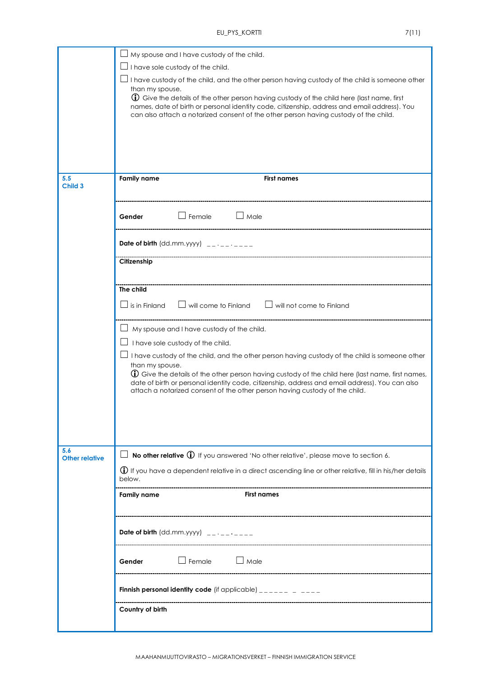|                              | My spouse and I have custody of the child.                                                                                                                                                                                                                                                                                                                                                                      |  |  |  |  |  |  |
|------------------------------|-----------------------------------------------------------------------------------------------------------------------------------------------------------------------------------------------------------------------------------------------------------------------------------------------------------------------------------------------------------------------------------------------------------------|--|--|--|--|--|--|
|                              | I have sole custody of the child.                                                                                                                                                                                                                                                                                                                                                                               |  |  |  |  |  |  |
|                              | I have custody of the child, and the other person having custody of the child is someone other<br>than my spouse.                                                                                                                                                                                                                                                                                               |  |  |  |  |  |  |
|                              | $\bigoplus$ Give the details of the other person having custody of the child here (last name, first<br>names, date of birth or personal identity code, citizenship, address and email address). You<br>can also attach a notarized consent of the other person having custody of the child.                                                                                                                     |  |  |  |  |  |  |
|                              |                                                                                                                                                                                                                                                                                                                                                                                                                 |  |  |  |  |  |  |
| 5.5<br><b>Child 3</b>        | <b>Family name</b><br><b>First names</b>                                                                                                                                                                                                                                                                                                                                                                        |  |  |  |  |  |  |
|                              | $\Box$ Female<br>$\Box$ Male<br>Gender                                                                                                                                                                                                                                                                                                                                                                          |  |  |  |  |  |  |
|                              | Date of birth $(dd.mm.yyyy)$ __.__.___                                                                                                                                                                                                                                                                                                                                                                          |  |  |  |  |  |  |
|                              | Citizenship                                                                                                                                                                                                                                                                                                                                                                                                     |  |  |  |  |  |  |
|                              | The child                                                                                                                                                                                                                                                                                                                                                                                                       |  |  |  |  |  |  |
|                              | $\Box$ will come to Finland $\Box$ will not come to Finland<br>is in Finland                                                                                                                                                                                                                                                                                                                                    |  |  |  |  |  |  |
|                              | My spouse and I have custody of the child.                                                                                                                                                                                                                                                                                                                                                                      |  |  |  |  |  |  |
|                              | I have sole custody of the child.                                                                                                                                                                                                                                                                                                                                                                               |  |  |  |  |  |  |
|                              | I have custody of the child, and the other person having custody of the child is someone other<br>than my spouse.<br><b>(i)</b> Give the details of the other person having custody of the child here (last name, first names,<br>date of birth or personal identity code, citizenship, address and email address). You can also<br>attach a notarized consent of the other person having custody of the child. |  |  |  |  |  |  |
| 5.6<br><b>Other relative</b> | No other relative $\bigoplus$ If you answered 'No other relative', please move to section 6.                                                                                                                                                                                                                                                                                                                    |  |  |  |  |  |  |
|                              | $\bigoplus$ If you have a dependent relative in a direct ascending line or other relative, fill in his/her details<br>below.                                                                                                                                                                                                                                                                                    |  |  |  |  |  |  |
|                              | <b>First names</b><br><b>Family name</b>                                                                                                                                                                                                                                                                                                                                                                        |  |  |  |  |  |  |
|                              | <b>Date of birth</b> (dd.mm.yyyy) $\qquad$ _ _ _ _ _ _ _ _                                                                                                                                                                                                                                                                                                                                                      |  |  |  |  |  |  |
|                              | $\Box$ Male<br>$\Box$ Female<br>Gender                                                                                                                                                                                                                                                                                                                                                                          |  |  |  |  |  |  |
|                              | Finnish personal identity code (if applicable) $\frac{1}{2}$                                                                                                                                                                                                                                                                                                                                                    |  |  |  |  |  |  |
|                              | Country of birth                                                                                                                                                                                                                                                                                                                                                                                                |  |  |  |  |  |  |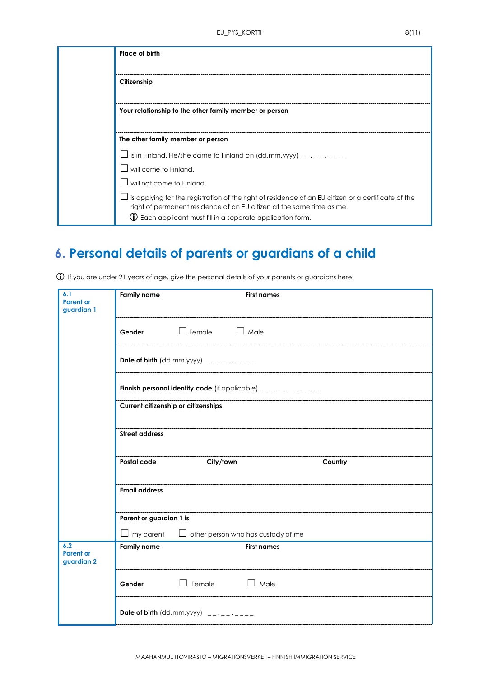| Place of birth                                                                                                                                                                                                                                       |
|------------------------------------------------------------------------------------------------------------------------------------------------------------------------------------------------------------------------------------------------------|
| Citizenship                                                                                                                                                                                                                                          |
| Your relationship to the other family member or person                                                                                                                                                                                               |
| The other family member or person                                                                                                                                                                                                                    |
| is in Finland. He/she came to Finland on $(dd.mm.yyy)$ __.__.___                                                                                                                                                                                     |
| will come to Finland.                                                                                                                                                                                                                                |
| will not come to Finland.                                                                                                                                                                                                                            |
| is applying for the registration of the right of residence of an EU citizen or a certificate of the<br>right of permanent residence of an EU citizen at the same time as me.<br>$\mathbb O$ Each applicant must fill in a separate application form. |

## **6. Personal details of parents or guardians of a child**

| 6.1<br><b>Parent or</b>               | <b>Family name</b><br><b>First names</b>                                                          |                              |                    |  |  |  |  |  |  |
|---------------------------------------|---------------------------------------------------------------------------------------------------|------------------------------|--------------------|--|--|--|--|--|--|
| guardian 1                            |                                                                                                   |                              |                    |  |  |  |  |  |  |
|                                       | Gender Female Male                                                                                |                              |                    |  |  |  |  |  |  |
|                                       | Date of birth $(dd.mm.yyyy)$ _________                                                            |                              |                    |  |  |  |  |  |  |
|                                       | Finnish personal identity code (if applicable) $\frac{1}{2}$                                      |                              |                    |  |  |  |  |  |  |
|                                       | Current citizenship or citizenships                                                               |                              |                    |  |  |  |  |  |  |
|                                       | <b>Street address</b>                                                                             |                              |                    |  |  |  |  |  |  |
|                                       | ---------------------------<br>---------------------------<br>Postal code<br>City/town<br>Country |                              |                    |  |  |  |  |  |  |
|                                       | <b>Email address</b>                                                                              |                              |                    |  |  |  |  |  |  |
|                                       | Parent or guardian 1 is                                                                           |                              |                    |  |  |  |  |  |  |
|                                       | $\perp$ my parent $\quad \Box$ other person who has custody of me                                 |                              |                    |  |  |  |  |  |  |
| 6.2<br><b>Parent or</b><br>guardian 2 | <b>Family name</b>                                                                                |                              | <b>First names</b> |  |  |  |  |  |  |
|                                       | Gender                                                                                            | $\Box$ Female<br>$\Box$ Male |                    |  |  |  |  |  |  |
|                                       | Date of birth $(dd.mm.yyyy)$ _________                                                            |                              |                    |  |  |  |  |  |  |

If you are under 21 years of age, give the personal details of your parents or guardians here.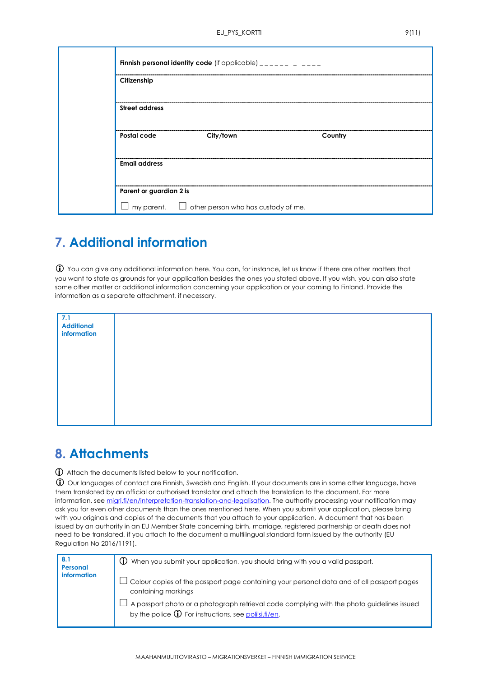|  |                         | <b>Finnish personal identity code</b> (if applicable) $\frac{1}{2}$ |         |
|--|-------------------------|---------------------------------------------------------------------|---------|
|  | Citizenship             |                                                                     |         |
|  | <b>Street address</b>   |                                                                     |         |
|  | Postal code             | City/town                                                           | Country |
|  | <b>Email address</b>    |                                                                     |         |
|  | Parent or guardian 2 is |                                                                     |         |
|  |                         | $\Box$ my parent. $\Box$ other person who has custody of me.        |         |

#### **7. Additional information**

 You can give any additional information here. You can, for instance, let us know if there are other matters that you want to state as grounds for your application besides the ones you stated above. If you wish, you can also state some other matter or additional information concerning your application or your coming to Finland. Provide the information as a separate attachment, if necessary.

| 7.1<br><b>Additional</b><br>information |  |  |
|-----------------------------------------|--|--|
|                                         |  |  |
|                                         |  |  |
|                                         |  |  |

#### **8. Attachments**

Attach the documents listed below to your notification.

 Our languages of contact are Finnish, Swedish and English. If your documents are in some other language, have them translated by an official or authorised translator and attach the translation to the document. For more information, see [migri.fi/en/interpretation-translation-and-legalisation.](https://migri.fi/en/interpretation-translation-and-legalisation) The authority processing your notification may ask you for even other documents than the ones mentioned here. When you submit your application, please bring with you originals and copies of the documents that you attach to your application. A document that has been issued by an authority in an EU Member State concerning birth, marriage, registered partnership or death does not need to be translated, if you attach to the document a multilingual standard form issued by the authority (EU Regulation No 2016/1191).

| 8.1<br>Personal    | $\bigoplus$ When you submit your application, you should bring with you a valid passport.                                                                    |
|--------------------|--------------------------------------------------------------------------------------------------------------------------------------------------------------|
| <i>information</i> | Colour copies of the passport page containing your personal data and of all passport pages<br>containing markings                                            |
|                    | A passport photo or a photograph retrieval code complying with the photo guidelines issued<br>by the police $\mathbb D$ For instructions, see poliisi.fi/en. |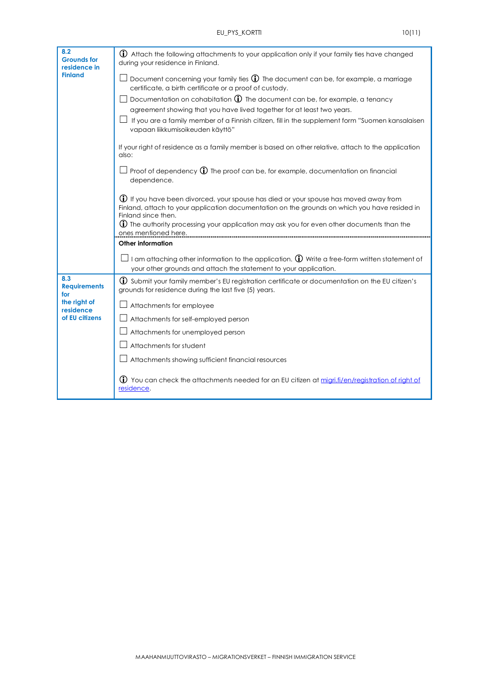| 8.2<br><b>Grounds for</b><br>residence in<br><b>Finland</b> | (i) Attach the following attachments to your application only if your family ties have changed<br>during your residence in Finland.                                                                                                                                                                                                 |                      |                                                                                                                  |
|-------------------------------------------------------------|-------------------------------------------------------------------------------------------------------------------------------------------------------------------------------------------------------------------------------------------------------------------------------------------------------------------------------------|----------------------|------------------------------------------------------------------------------------------------------------------|
|                                                             | $\perp$ Document concerning your family ties $\bigoplus$ The document can be, for example, a marriage<br>certificate, a birth certificate or a proof of custody.<br>Documentation on cohabitation $\bigoplus$ The document can be, for example, a tenancy<br>agreement showing that you have lived together for at least two years. |                      |                                                                                                                  |
|                                                             |                                                                                                                                                                                                                                                                                                                                     |                      |                                                                                                                  |
|                                                             | If you are a family member of a Finnish citizen, fill in the supplement form "Suomen kansalaisen<br>vapaan liikkumisoikeuden käyttö"<br>If your right of residence as a family member is based on other relative, attach to the application<br>also:                                                                                |                      |                                                                                                                  |
|                                                             |                                                                                                                                                                                                                                                                                                                                     |                      | $\perp$ Proof of dependency $\bigoplus$ The proof can be, for example, documentation on financial<br>dependence. |
|                                                             | (i) If you have been divorced, your spouse has died or your spouse has moved away from<br>Finland, attach to your application documentation on the grounds on which you have resided in<br>Finland since then.<br>$\bigoplus$ The authority processing your application may ask you for even other documents than the               |                      |                                                                                                                  |
|                                                             |                                                                                                                                                                                                                                                                                                                                     | ones mentioned here. |                                                                                                                  |
|                                                             | <b>Other information</b>                                                                                                                                                                                                                                                                                                            |                      |                                                                                                                  |
|                                                             | $\perp$ I am attaching other information to the application. $\bigoplus$ Write a free-form written statement of<br>your other grounds and attach the statement to your application.                                                                                                                                                 |                      |                                                                                                                  |
| 8.3<br><b>Requirements</b><br>for                           | 1) Submit your family member's EU registration certificate or documentation on the EU citizen's<br>grounds for residence during the last five (5) years.                                                                                                                                                                            |                      |                                                                                                                  |
| the right of<br>residence<br>of EU citizens                 | Attachments for employee                                                                                                                                                                                                                                                                                                            |                      |                                                                                                                  |
|                                                             | Attachments for self-employed person                                                                                                                                                                                                                                                                                                |                      |                                                                                                                  |
|                                                             | Attachments for unemployed person                                                                                                                                                                                                                                                                                                   |                      |                                                                                                                  |
|                                                             | Attachments for student                                                                                                                                                                                                                                                                                                             |                      |                                                                                                                  |
|                                                             | $\perp$ Attachments showing sufficient financial resources                                                                                                                                                                                                                                                                          |                      |                                                                                                                  |
|                                                             | <b>1</b> You can check the attachments needed for an EU citizen at migri.fi/en/registration of right of<br>residence.                                                                                                                                                                                                               |                      |                                                                                                                  |